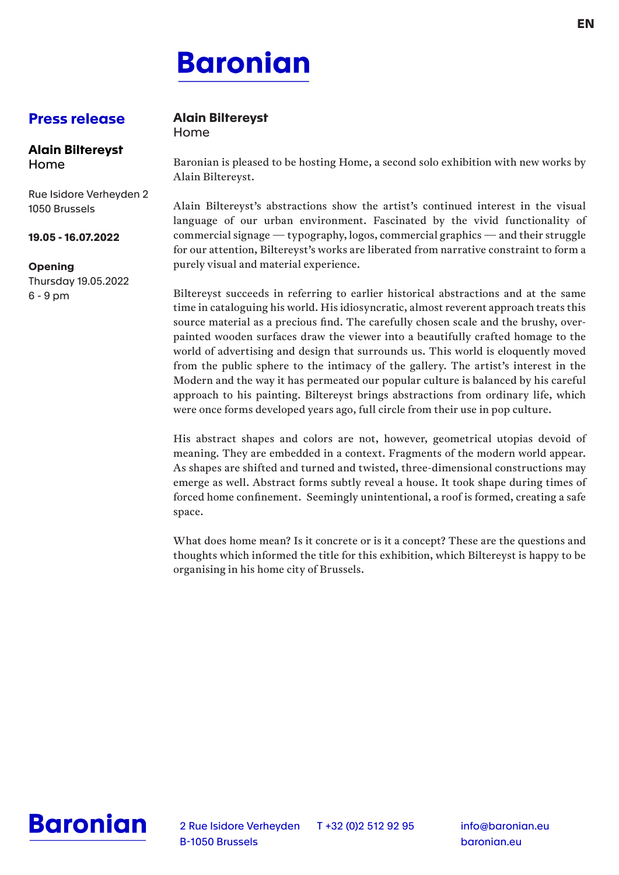# **Baronian**

## **Press release**

#### **Alain Biltereyst** Home

Rue Isidore Verheyden 2 1050 Brussels

#### **19.05 - 16.07.2022**

#### **Opening**

Thursday 19.05.2022 6 - 9 pm

### **Alain Biltereyst**

Home

Baronian is pleased to be hosting Home, a second solo exhibition with new works by Alain Biltereyst.

Alain Biltereyst's abstractions show the artist's continued interest in the visual language of our urban environment. Fascinated by the vivid functionality of commercial signage — typography, logos, commercial graphics — and their struggle for our attention, Biltereyst's works are liberated from narrative constraint to form a purely visual and material experience.

Biltereyst succeeds in referring to earlier historical abstractions and at the same time in cataloguing his world. His idiosyncratic, almost reverent approach treats this source material as a precious find. The carefully chosen scale and the brushy, overpainted wooden surfaces draw the viewer into a beautifully crafted homage to the world of advertising and design that surrounds us. This world is eloquently moved from the public sphere to the intimacy of the gallery. The artist's interest in the Modern and the way it has permeated our popular culture is balanced by his careful approach to his painting. Biltereyst brings abstractions from ordinary life, which were once forms developed years ago, full circle from their use in pop culture.

His abstract shapes and colors are not, however, geometrical utopias devoid of meaning. They are embedded in a context. Fragments of the modern world appear. As shapes are shifted and turned and twisted, three-dimensional constructions may emerge as well. Abstract forms subtly reveal a house. It took shape during times of forced home confinement. Seemingly unintentional, a roof is formed, creating a safe space.

What does home mean? Is it concrete or is it a concept? These are the questions and thoughts which informed the title for this exhibition, which Biltereyst is happy to be organising in his home city of Brussels.



2 Rue Isidore Verheyden T +32 (0)2 512 92 95 B-1050 Brussels

info@baronian.eu baronian.eu